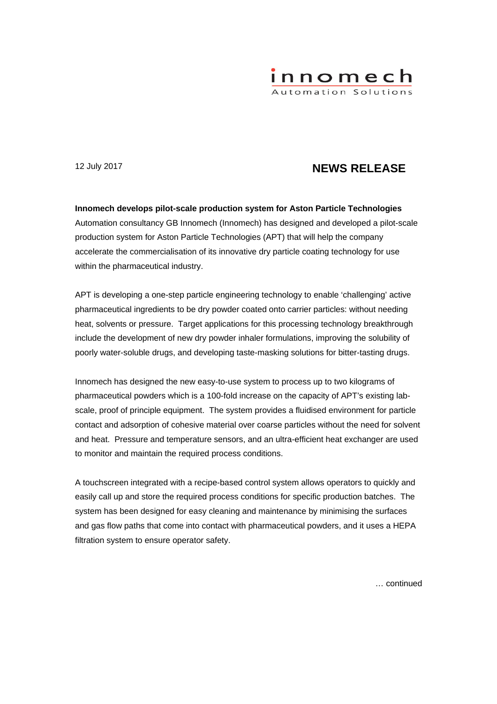

# 12 July 2017 **NEWS RELEASE**

**Innomech develops pilot-scale production system for Aston Particle Technologies**  Automation consultancy GB Innomech (Innomech) has designed and developed a pilot-scale production system for Aston Particle Technologies (APT) that will help the company accelerate the commercialisation of its innovative dry particle coating technology for use within the pharmaceutical industry.

APT is developing a one-step particle engineering technology to enable 'challenging' active pharmaceutical ingredients to be dry powder coated onto carrier particles: without needing heat, solvents or pressure. Target applications for this processing technology breakthrough include the development of new dry powder inhaler formulations, improving the solubility of poorly water-soluble drugs, and developing taste-masking solutions for bitter-tasting drugs.

Innomech has designed the new easy-to-use system to process up to two kilograms of pharmaceutical powders which is a 100-fold increase on the capacity of APT's existing labscale, proof of principle equipment. The system provides a fluidised environment for particle contact and adsorption of cohesive material over coarse particles without the need for solvent and heat. Pressure and temperature sensors, and an ultra-efficient heat exchanger are used to monitor and maintain the required process conditions.

A touchscreen integrated with a recipe-based control system allows operators to quickly and easily call up and store the required process conditions for specific production batches. The system has been designed for easy cleaning and maintenance by minimising the surfaces and gas flow paths that come into contact with pharmaceutical powders, and it uses a HEPA filtration system to ensure operator safety.

… continued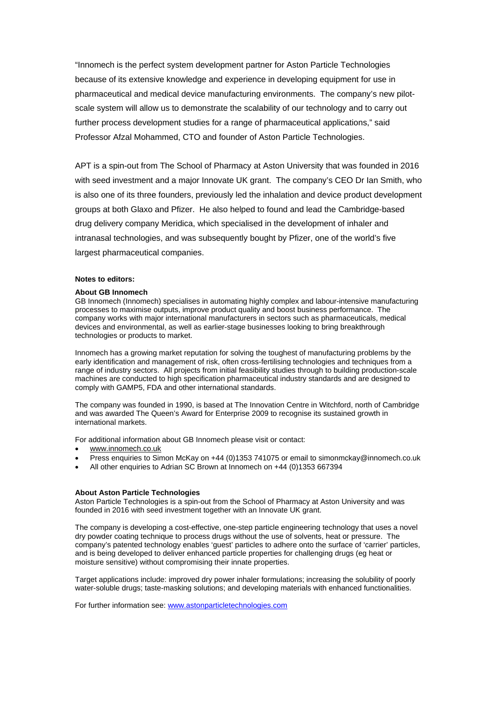"Innomech is the perfect system development partner for Aston Particle Technologies because of its extensive knowledge and experience in developing equipment for use in pharmaceutical and medical device manufacturing environments. The company's new pilotscale system will allow us to demonstrate the scalability of our technology and to carry out further process development studies for a range of pharmaceutical applications," said Professor Afzal Mohammed, CTO and founder of Aston Particle Technologies.

APT is a spin-out from The School of Pharmacy at Aston University that was founded in 2016 with seed investment and a major Innovate UK grant. The company's CEO Dr Ian Smith, who is also one of its three founders, previously led the inhalation and device product development groups at both Glaxo and Pfizer. He also helped to found and lead the Cambridge-based drug delivery company Meridica, which specialised in the development of inhaler and intranasal technologies, and was subsequently bought by Pfizer, one of the world's five largest pharmaceutical companies.

## **Notes to editors:**

#### **About GB Innomech**

GB Innomech (Innomech) specialises in automating highly complex and labour-intensive manufacturing processes to maximise outputs, improve product quality and boost business performance. The company works with major international manufacturers in sectors such as pharmaceuticals, medical devices and environmental, as well as earlier-stage businesses looking to bring breakthrough technologies or products to market.

Innomech has a growing market reputation for solving the toughest of manufacturing problems by the early identification and management of risk, often cross-fertilising technologies and techniques from a range of industry sectors. All projects from initial feasibility studies through to building production-scale machines are conducted to high specification pharmaceutical industry standards and are designed to comply with GAMP5, FDA and other international standards.

The company was founded in 1990, is based at The Innovation Centre in Witchford, north of Cambridge and was awarded The Queen's Award for Enterprise 2009 to recognise its sustained growth in international markets.

For additional information about GB Innomech please visit or contact:

- www.innomech.co.uk
- Press enquiries to Simon McKay on +44 (0)1353 741075 or email to simonmckay@innomech.co.uk
- All other enquiries to Adrian SC Brown at Innomech on +44 (0)1353 667394

### **About Aston Particle Technologies**

Aston Particle Technologies is a spin-out from the School of Pharmacy at Aston University and was founded in 2016 with seed investment together with an Innovate UK grant.

The company is developing a cost-effective, one-step particle engineering technology that uses a novel dry powder coating technique to process drugs without the use of solvents, heat or pressure. The company's patented technology enables 'guest' particles to adhere onto the surface of 'carrier' particles, and is being developed to deliver enhanced particle properties for challenging drugs (eg heat or moisture sensitive) without compromising their innate properties.

Target applications include: improved dry power inhaler formulations; increasing the solubility of poorly water-soluble drugs; taste-masking solutions; and developing materials with enhanced functionalities.

For further information see: www.astonparticletechnologies.com